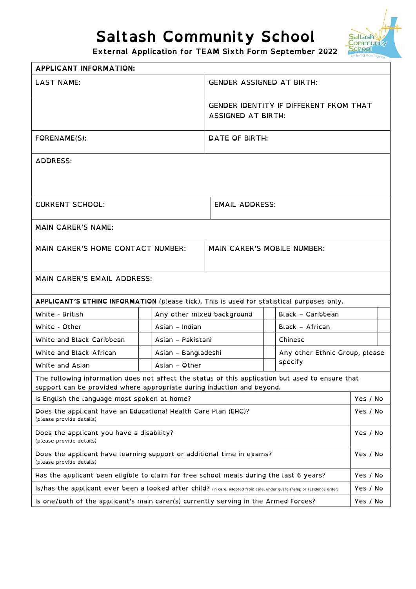## **Saltash Community School**



**External Application for TEAM Sixth Form September 2022** 

| <b>APPLICANT INFORMATION:</b>                                                                                                                                              |                     |                                    |                                               |          |  |
|----------------------------------------------------------------------------------------------------------------------------------------------------------------------------|---------------------|------------------------------------|-----------------------------------------------|----------|--|
| <b>LAST NAME:</b>                                                                                                                                                          |                     | <b>GENDER ASSIGNED AT BIRTH:</b>   |                                               |          |  |
|                                                                                                                                                                            |                     | <b>ASSIGNED AT BIRTH:</b>          | <b>GENDER IDENTITY IF DIFFERENT FROM THAT</b> |          |  |
| FORENAME(S):                                                                                                                                                               |                     | DATE OF BIRTH:                     |                                               |          |  |
| <b>ADDRESS:</b>                                                                                                                                                            |                     |                                    |                                               |          |  |
| <b>CURRENT SCHOOL:</b>                                                                                                                                                     |                     | <b>EMAIL ADDRESS:</b>              |                                               |          |  |
| <b>MAIN CARER'S NAME:</b>                                                                                                                                                  |                     |                                    |                                               |          |  |
| MAIN CARER'S HOME CONTACT NUMBER:                                                                                                                                          |                     | <b>MAIN CARER'S MOBILE NUMBER:</b> |                                               |          |  |
| MAIN CARER'S EMAIL ADDRESS:                                                                                                                                                |                     |                                    |                                               |          |  |
| APPLICANT'S ETHINC INFORMATION (please tick). This is used for statistical purposes only.                                                                                  |                     |                                    |                                               |          |  |
| White - British                                                                                                                                                            |                     | Any other mixed background         | Black - Caribbean                             |          |  |
| White - Other                                                                                                                                                              | Asian - Indian      |                                    | Black - African                               |          |  |
| White and Black Caribbean                                                                                                                                                  | Asian - Pakistani   |                                    | Chinese                                       |          |  |
| White and Black African                                                                                                                                                    | Asian - Bangladeshi |                                    | Any other Ethnic Group, please                |          |  |
| White and Asian                                                                                                                                                            | Asian - Other       |                                    | specify                                       |          |  |
| The following information does not affect the status of this application but used to ensure that<br>support can be provided where appropriate during induction and beyond. |                     |                                    |                                               |          |  |
| Is English the language most spoken at home?                                                                                                                               |                     |                                    |                                               | Yes / No |  |
| Does the applicant have an Educational Health Care Plan (EHC)?<br>(please provide details)                                                                                 |                     |                                    |                                               | Yes / No |  |
| Does the applicant you have a disability?<br>(please provide details)                                                                                                      |                     |                                    |                                               | Yes / No |  |
| Does the applicant have learning support or additional time in exams?<br>(please provide details)                                                                          |                     |                                    |                                               | Yes / No |  |
| Has the applicant been eligible to claim for free school meals during the last 6 years?                                                                                    |                     |                                    |                                               | Yes / No |  |
| Is/has the applicant ever been a looked after child? (in care, adopted from care, under guardianship or residence order)                                                   |                     |                                    |                                               | Yes / No |  |
| Is one/both of the applicant's main carer(s) currently serving in the Armed Forces?                                                                                        |                     |                                    |                                               | Yes / No |  |